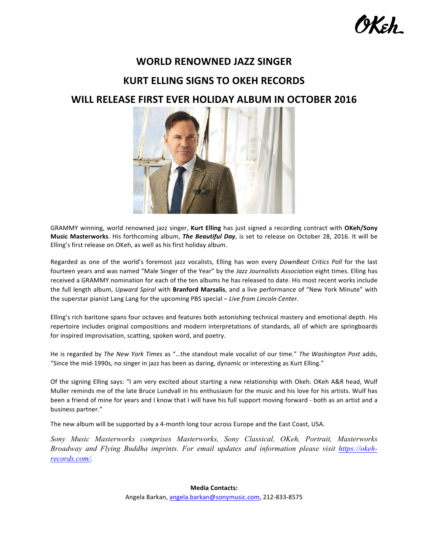# **WORLD RENOWNED JAZZ SINGER**

## **KURT ELLING SIGNS TO OKEH RECORDS**

### WILL RELEASE FIRST EVER HOLIDAY ALBUM IN OCTOBER 2016



GRAMMY winning, world renowned jazz singer, Kurt Elling has just signed a recording contract with OKeh/Sony Music Masterworks. His forthcoming album, *The Beautiful Day*, is set to release on October 28, 2016. It will be Elling's first release on OKeh, as well as his first holiday album.

Regarded as one of the world's foremost jazz vocalists, Elling has won every *DownBeat Critics Poll* for the last fourteen years and was named "Male Singer of the Year" by the Jazz Journalists Association eight times. Elling has received a GRAMMY nomination for each of the ten albums he has released to date. His most recent works include the full length album, *Upward Spiral* with **Branford Marsalis**, and a live performance of "New York Minute" with the superstar pianist Lang Lang for the upcoming PBS special - Live from Lincoln Center.

Elling's rich baritone spans four octaves and features both astonishing technical mastery and emotional depth. His repertoire includes original compositions and modern interpretations of standards, all of which are springboards for inspired improvisation, scatting, spoken word, and poetry.

He is regarded by The New York Times as "...the standout male vocalist of our time." The Washington Post adds, "Since the mid-1990s, no singer in jazz has been as daring, dynamic or interesting as Kurt Elling."

Of the signing Elling says: "I am very excited about starting a new relationship with Okeh. OKeh A&R head, Wulf Muller reminds me of the late Bruce Lundvall in his enthusiasm for the music and his love for his artists. Wulf has been a friend of mine for years and I know that I will have his full support moving forward - both as an artist and a business partner."

The new album will be supported by a 4-month long tour across Europe and the East Coast, USA.

*Sony Music Masterworks comprises Masterworks, Sony Classical, OKeh, Portrait, Masterworks Broadway and Flying Buddha imprints. For email updates and information please visit https://okehrecords.com/.*